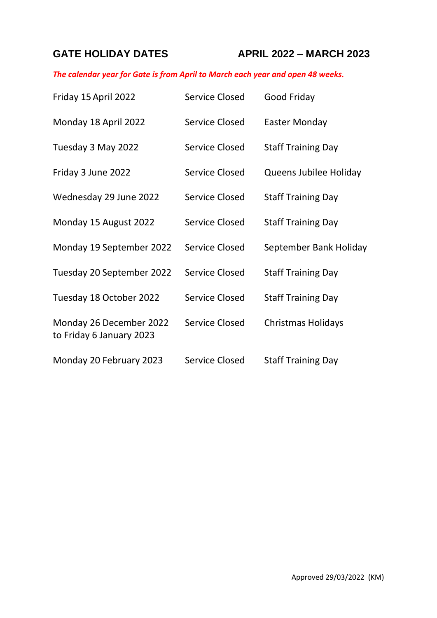## **GATE HOLIDAY DATES APRIL 2022 – MARCH 2023**

## *The calendar year for Gate is from April to March each year and open 48 weeks.*

| Friday 15 April 2022                                | <b>Service Closed</b> | Good Friday               |
|-----------------------------------------------------|-----------------------|---------------------------|
| Monday 18 April 2022                                | <b>Service Closed</b> | Easter Monday             |
| Tuesday 3 May 2022                                  | <b>Service Closed</b> | <b>Staff Training Day</b> |
| Friday 3 June 2022                                  | <b>Service Closed</b> | Queens Jubilee Holiday    |
| Wednesday 29 June 2022                              | Service Closed        | <b>Staff Training Day</b> |
| Monday 15 August 2022                               | <b>Service Closed</b> | <b>Staff Training Day</b> |
| Monday 19 September 2022                            | <b>Service Closed</b> | September Bank Holiday    |
| Tuesday 20 September 2022                           | <b>Service Closed</b> | <b>Staff Training Day</b> |
| Tuesday 18 October 2022                             | <b>Service Closed</b> | <b>Staff Training Day</b> |
| Monday 26 December 2022<br>to Friday 6 January 2023 | Service Closed        | <b>Christmas Holidays</b> |
| Monday 20 February 2023                             | <b>Service Closed</b> | <b>Staff Training Day</b> |